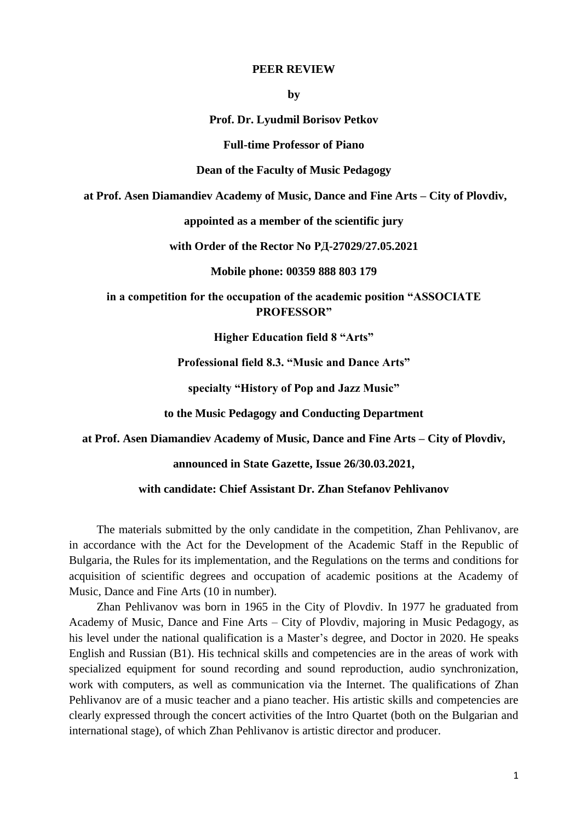## **PEER REVIEW**

**by**

**Prof. Dr. Lyudmil Borisov Petkov**

**Full-time Professor of Piano**

**Dean of the Faculty of Music Pedagogy**

**at Prof. Asen Diamandiev Academy of Music, Dance and Fine Arts – City of Plovdiv,**

**appointed as a member of the scientific jury**

**with Order of the Rector No РД-27029/27.05.2021**

**Mobile phone: 00359 888 803 179**

**in a competition for the occupation of the academic position "ASSOCIATE PROFESSOR"**

**Higher Education field 8 "Arts"**

**Professional field 8.3. "Music and Dance Arts"**

**specialty "History of Pop and Jazz Music"**

**to the Music Pedagogy and Conducting Department**

**at Prof. Asen Diamandiev Academy of Music, Dance and Fine Arts – City of Plovdiv,**

**announced in State Gazette, Issue 26/30.03.2021,**

**with candidate: Chief Assistant Dr. Zhan Stefanov Pehlivanov**

The materials submitted by the only candidate in the competition, Zhan Pehlivanov, are in accordance with the Act for the Development of the Academic Staff in the Republic of Bulgaria, the Rules for its implementation, and the Regulations on the terms and conditions for acquisition of scientific degrees and occupation of academic positions at the Academy of Music, Dance and Fine Arts (10 in number).

Zhan Pehlivanov was born in 1965 in the City of Plovdiv. In 1977 he graduated from Academy of Music, Dance and Fine Arts – City of Plovdiv, majoring in Music Pedagogy, as his level under the national qualification is a Master's degree, and Doctor in 2020. He speaks English and Russian (B1). His technical skills and competencies are in the areas of work with specialized equipment for sound recording and sound reproduction, audio synchronization, work with computers, as well as communication via the Internet. The qualifications of Zhan Pehlivanov are of a music teacher and a piano teacher. His artistic skills and competencies are clearly expressed through the concert activities of the Intro Quartet (both on the Bulgarian and international stage), of which Zhan Pehlivanov is artistic director and producer.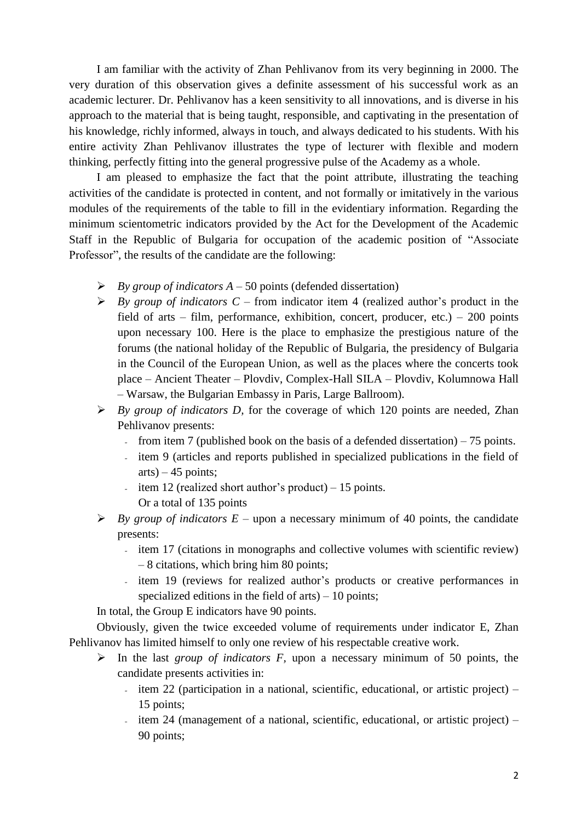I am familiar with the activity of Zhan Pehlivanov from its very beginning in 2000. The very duration of this observation gives a definite assessment of his successful work as an academic lecturer. Dr. Pehlivanov has a keen sensitivity to all innovations, and is diverse in his approach to the material that is being taught, responsible, and captivating in the presentation of his knowledge, richly informed, always in touch, and always dedicated to his students. With his entire activity Zhan Pehlivanov illustrates the type of lecturer with flexible and modern thinking, perfectly fitting into the general progressive pulse of the Academy as a whole.

I am pleased to emphasize the fact that the point attribute, illustrating the teaching activities of the candidate is protected in content, and not formally or imitatively in the various modules of the requirements of the table to fill in the evidentiary information. Regarding the minimum scientometric indicators provided by the Act for the Development of the Academic Staff in the Republic of Bulgaria for occupation of the academic position of "Associate Professor", the results of the candidate are the following:

- *By group of indicators A –* 50 points (defended dissertation)
- *By group of indicators C* from indicator item 4 (realized author's product in the field of arts – film, performance, exhibition, concert, producer, etc.) – 200 points upon necessary 100. Here is the place to emphasize the prestigious nature of the forums (the national holiday of the Republic of Bulgaria, the presidency of Bulgaria in the Council of the European Union, as well as the places where the concerts took place – Ancient Theater – Plovdiv, Complex-Hall SILA – Plovdiv, Kolumnowa Hall – Warsaw, the Bulgarian Embassy in Paris, Large Ballroom).
- *By group of indicators D,* for the coverage of which 120 points are needed, Zhan Pehlivanov presents:
	- from item 7 (published book on the basis of a defended dissertation)  $-75$  points.
	- item 9 (articles and reports published in specialized publications in the field of arts) – 45 points;
	- item 12 (realized short author's product) 15 points.
		- Or a total of 135 points
- *F By group of indicators*  $E$  upon a necessary minimum of 40 points, the candidate presents:
	- item 17 (citations in monographs and collective volumes with scientific review) – 8 citations, which bring him 80 points;
	- item 19 (reviews for realized author's products or creative performances in specialized editions in the field of arts)  $-10$  points;

In total, the Group E indicators have 90 points.

Obviously, given the twice exceeded volume of requirements under indicator E, Zhan Pehlivanov has limited himself to only one review of his respectable creative work.

- $\triangleright$  In the last *group of indicators F*, upon a necessary minimum of 50 points, the candidate presents activities in:
	- $\frac{1}{2}$  item 22 (participation in a national, scientific, educational, or artistic project) 15 points;
	- $\mathbb{Z}^{\mathbb{Z}^2}$ item 24 (management of a national, scientific, educational, or artistic project) – 90 points;